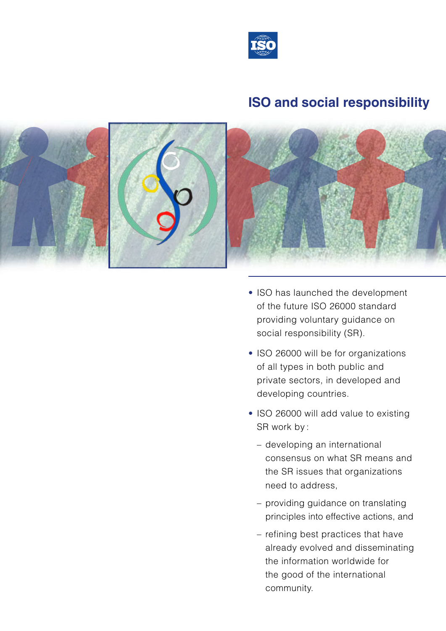

# **ISO and social responsibility**



- ISO has launched the development of the future ISO 26000 standard providing voluntary guidance on social responsibility (SR).
- ISO 26000 will be for organizations of all types in both public and private sectors, in developed and developing countries.
- ISO 26000 will add value to existing SR work by :
	- developing an international consensus on what SR means and the SR issues that organizations need to address,
	- providing guidance on translating principles into effective actions, and
	- refining best practices that have already evolved and disseminating the information worldwide for the good of the international community.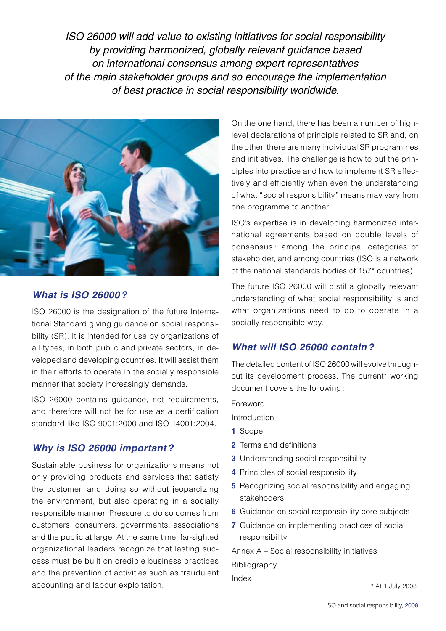*ISO 26000 will add value to existing initiatives for social responsibility by providing harmonized, globally relevant guidance based on international consensus among expert representatives of the main stakeholder groups and so encourage the implementation of best practice in social responsibility worldwide.*



## *What is ISO 26000?*

ISO 26000 is the designation of the future International Standard giving guidance on social responsibility (SR). It is intended for use by organizations of all types, in both public and private sectors, in developed and developing countries. It will assist them in their efforts to operate in the socially responsible manner that society increasingly demands.

ISO 26000 contains guidance, not requirements, and therefore will not be for use as a certification standard like ISO 9001:2000 and ISO 14001:2004.

# *Why is ISO 26000 important?*

Sustainable business for organizations means not only providing products and services that satisfy the customer, and doing so without jeopardizing the environment, but also operating in a socially responsible manner. Pressure to do so comes from customers, consumers, governments, associations and the public at large. At the same time, far-sighted organizational leaders recognize that lasting success must be built on credible business practices and the prevention of activities such as fraudulent accounting and labour exploitation.

On the one hand, there has been a number of highlevel declarations of principle related to SR and, on the other, there are many individual SR programmes and initiatives. The challenge is how to put the principles into practice and how to implement SR effectively and efficiently when even the understanding of what "social responsibility" means may vary from one programme to another.

ISO's expertise is in developing harmonized international agreements based on double levels of consensus : among the principal categories of stakeholder, and among countries (ISO is a network of the national standards bodies of 157\* countries).

The future ISO 26000 will distil a globally relevant understanding of what social responsibility is and what organizations need to do to operate in a socially responsible way.

## *What will ISO 26000 contain?*

The detailed content of ISO 26000 will evolve throughout its development process. The current\* working document covers the following:

Foreword

Introduction

- **1** Scope
- **2** Terms and definitions
- **3** Understanding social responsibility
- **4** Principles of social responsibility
- **5** Recognizing social responsibility and engaging stakehoders
- **6** Guidance on social responsibility core subjects
- **7** Guidance on implementing practices of social responsibility

Annex A – Social responsibility initiatives Bibliography

Index

\* At 1 July 2008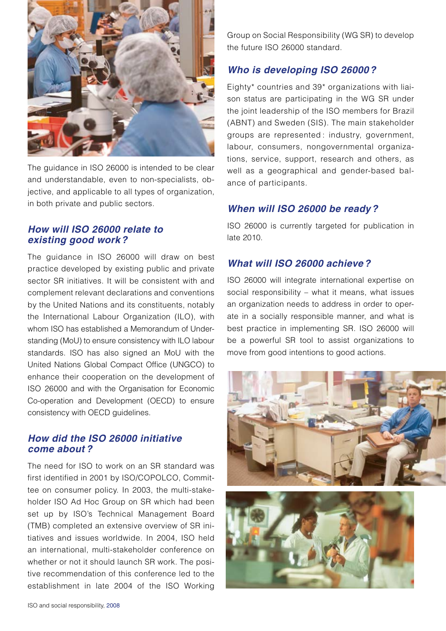

The guidance in ISO 26000 is intended to be clear and understandable, even to non-specialists, objective, and applicable to all types of organization, in both private and public sectors.

#### *How will ISO 26000 relate to existing good work?*

The guidance in ISO 26000 will draw on best practice developed by existing public and private sector SR initiatives. It will be consistent with and complement relevant declarations and conventions by the United Nations and its constituents, notably the International Labour Organization (ILO), with whom ISO has established a Memorandum of Understanding (MoU) to ensure consistency with ILO labour standards. ISO has also signed an MoU with the United Nations Global Compact Office (UNGCO) to enhance their cooperation on the development of ISO 26000 and with the Organisation for Economic Co-operation and Development (OECD) to ensure consistency with OECD guidelines.

#### *How did the ISO 26000 initiative come about ?*

The need for ISO to work on an SR standard was first identified in 2001 by ISO/COPOLCO, Committee on consumer policy. In 2003, the multi-stakeholder ISO Ad Hoc Group on SR which had been set up by ISO's Technical Management Board (TMB) completed an extensive overview of SR initiatives and issues worldwide. In 2004, ISO held an international, multi-stakeholder conference on whether or not it should launch SR work. The positive recommendation of this conference led to the establishment in late 2004 of the ISO Working

Group on Social Responsibility (WG SR) to develop the future ISO 26000 standard.

# *Who is developing ISO 26000?*

Eighty\* countries and 39\* organizations with liaison status are participating in the WG SR under the joint leadership of the ISO members for Brazil (ABNT) and Sweden (SIS). The main stakeholder groups are represented : industry, government, labour, consumers, nongovernmental organizations, service, support, research and others, as well as a geographical and gender-based balance of participants.

### *When will ISO 26000 be ready?*

ISO 26000 is currently targeted for publication in late 2010.

#### *What will ISO 26000 achieve?*

ISO 26000 will integrate international expertise on social responsibility – what it means, what issues an organization needs to address in order to operate in a socially responsible manner, and what is best practice in implementing SR. ISO 26000 will be a powerful SR tool to assist organizations to move from good intentions to good actions.